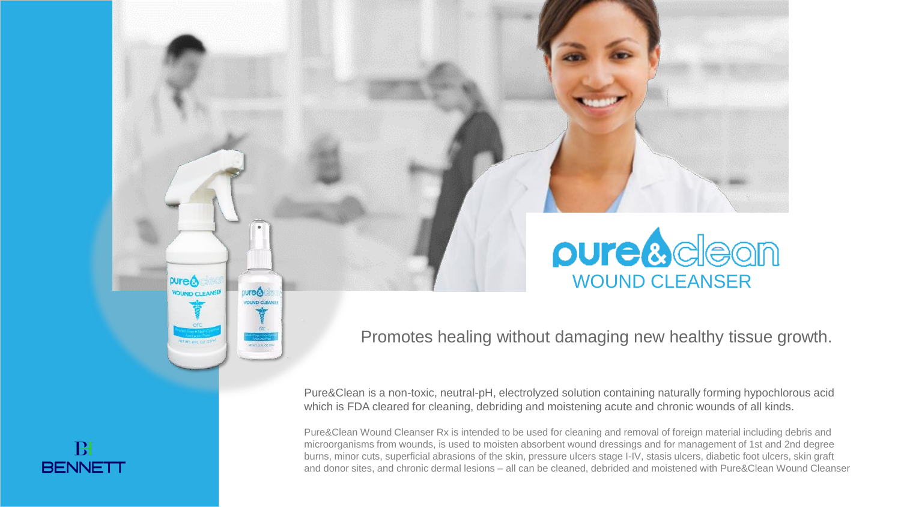

# pure&cleon WOUND CLEANSER

Promotes healing without damaging new healthy tissue growth.



pure

**OUND CLEANSER** 

 $w$ re $\mathbf{\hat{A}}$ 

**OUND CLEAN** 

Pure&Clean is a non-toxic, neutral-pH, electrolyzed solution containing naturally forming hypochlorous acid which is FDA cleared for cleaning, debriding and moistening acute and chronic wounds of all kinds.

Pure&Clean Wound Cleanser Rx is intended to be used for cleaning and removal of foreign material including debris and microorganisms from wounds, is used to moisten absorbent wound dressings and for management of 1st and 2nd degree burns, minor cuts, superficial abrasions of the skin, pressure ulcers stage I-IV, stasis ulcers, diabetic foot ulcers, skin graft and donor sites, and chronic dermal lesions – all can be cleaned, debrided and moistened with Pure&Clean Wound Cleanser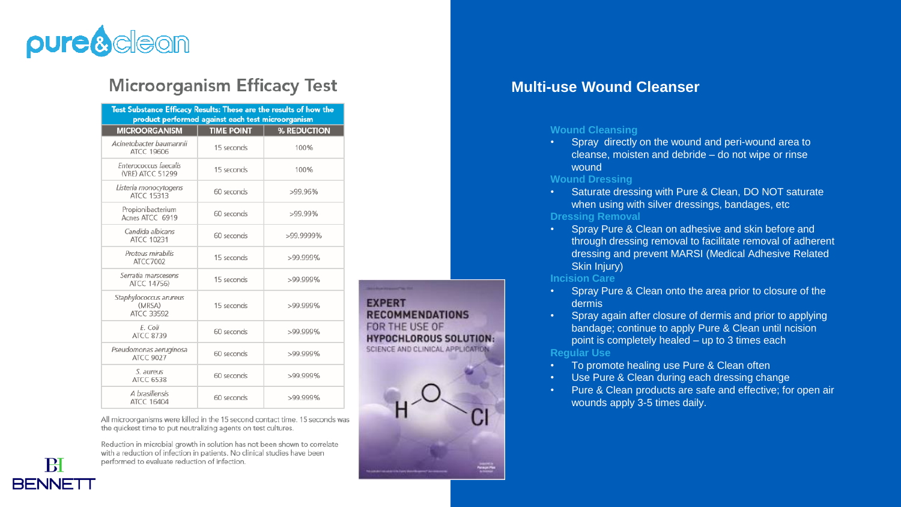

 $\mathbf{P}\mathbf{I}$ 

**BENNETT** 

### **Microorganism Efficacy Test**

| Test Substance Efficacy Results: These are the results of how the<br>product performed against each test microorganism |                   |             |
|------------------------------------------------------------------------------------------------------------------------|-------------------|-------------|
| <b>MICROORGANISM</b>                                                                                                   | <b>TIME POINT</b> | % REDUCTION |
| Acinetobacter baumannii<br>ATCC 19606                                                                                  | 15 seconds        | 100%        |
| Enterococcus faecalis<br>(VRE) ATCC 51299                                                                              | 15 seconds        | 100%        |
| Listeria monocytogens<br><b>ATCC 15313</b>                                                                             | 60 seconds        | >99.96%     |
| Propionibacterium<br>Acnes ATCC 6919                                                                                   | 60 seconds        | >99.99%     |
| Candida albicans<br>ATCC 10231                                                                                         | 60 seconds        | >99.9999%   |
| Proteus mirabilis<br>ATCC7002                                                                                          | 15 seconds        | >99.999%    |
| Serratia marscesens<br>ATCC 14756)                                                                                     | 15 seconds        | >99.999%    |
| Staphylococcus arureus<br>(MRSA)<br><b>ATCC 33592</b>                                                                  | 15 seconds        | >99.999%    |
| E. Coli<br><b>ATCC 8739</b>                                                                                            | 60 seconds        | >99.999%    |
| Pseudomonas aeruginosa<br><b>ATCC 9027</b>                                                                             | 60 seconds        | >99.999%    |
| S. aureus<br><b>ATCC 6538</b>                                                                                          | 60 seconds        | >99.999%    |
| A brasiliensis<br><b>ATCC 16404</b>                                                                                    | 60 seconds        | >99.999%    |

All microorganisms were killed in the 15 second contact time. 15 seconds was the quickest time to put neutralizing agents on test cultures.

Reduction in microbial growth in solution has not been shown to correlate with a reduction of infection in patients. No clinical studies have been performed to evaluate reduction of infection.

#### **EXPERT RECOMMENDATIONS** FOR THE USE OF **HYPOCHLOROUS SOLUTION:** SCIENCE AND CLINICAL APPLICATION



#### **Multi-use Wound Cleanser**

#### **Wound Cleansing**

• Spray directly on the wound and peri-wound area to cleanse, moisten and debride – do not wipe or rinse wound

#### **Wound Dressing**

- Saturate dressing with Pure & Clean, DO NOT saturate when using with silver dressings, bandages, etc **Dressing Removal**
- Spray Pure & Clean on adhesive and skin before and through dressing removal to facilitate removal of adherent dressing and prevent MARSI (Medical Adhesive Related Skin Injury)

#### **Incision Care**

- Spray Pure & Clean onto the area prior to closure of the dermis
- Spray again after closure of dermis and prior to applying bandage; continue to apply Pure & Clean until ncision point is completely healed – up to 3 times each **Regular Use**
- To promote healing use Pure & Clean often
- Use Pure & Clean during each dressing change
- Pure & Clean products are safe and effective; for open air wounds apply 3-5 times daily.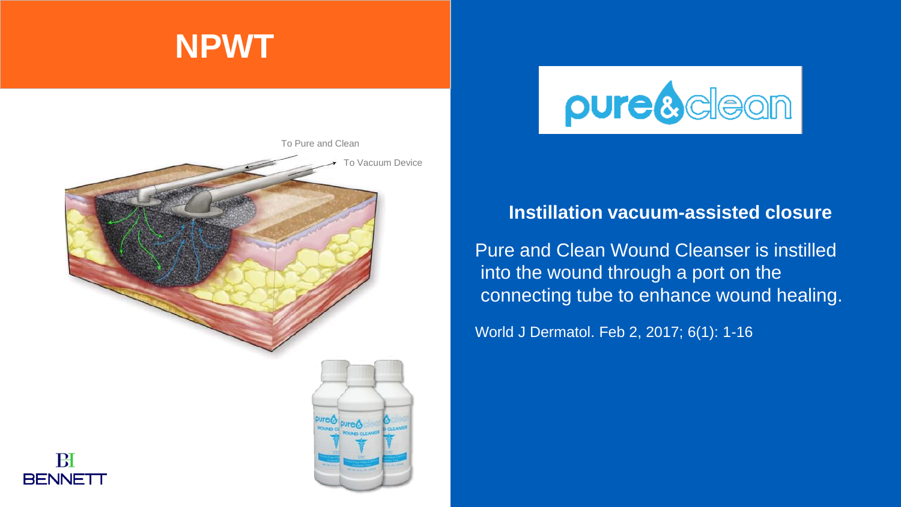# **NPWT**





#### **Instillation vacuum-assisted closure**

Pure and Clean Wound Cleanser is instilled into the wound through a port on the connecting tube to enhance wound healing.

World J Dermatol. Feb 2, 2017; 6(1): 1-16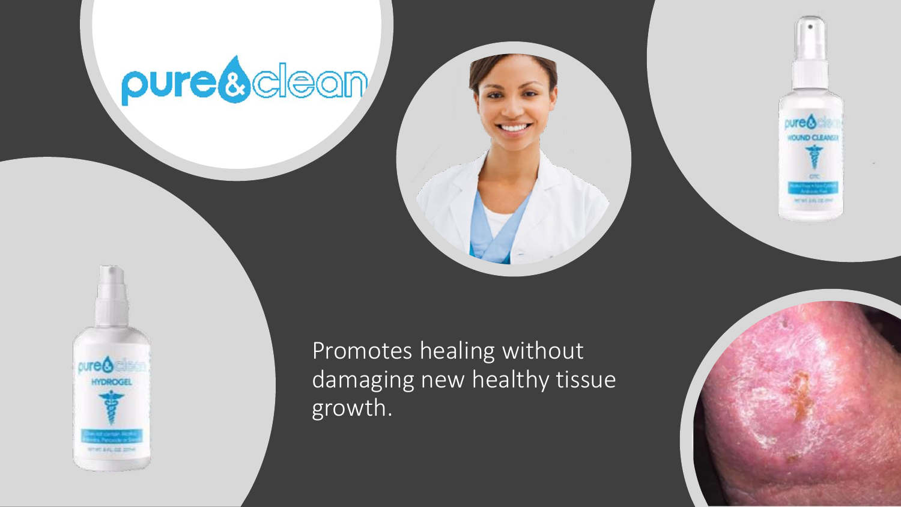# pure&cleen

 $oure$ 

Promotes healing without damaging new healthy tissue growth.



 $n$ ure

*XIND CLEA*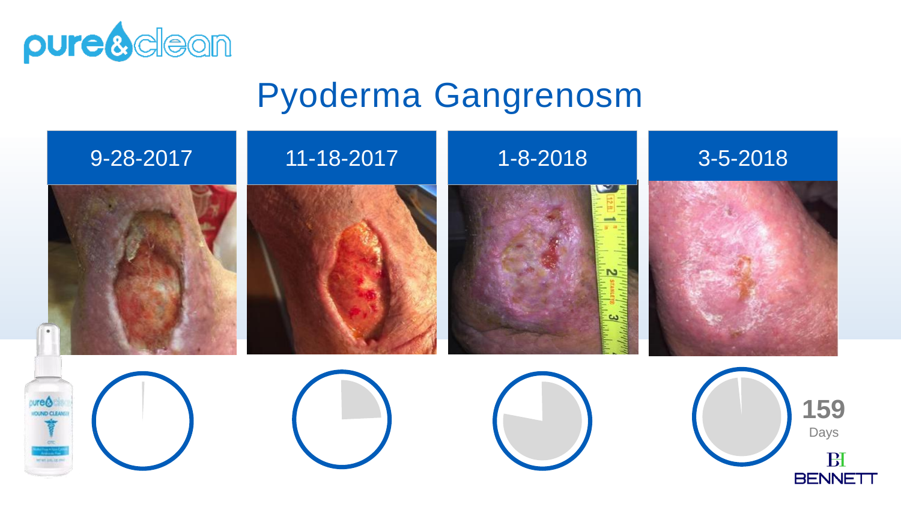

# Pyoderma Gangrenosm

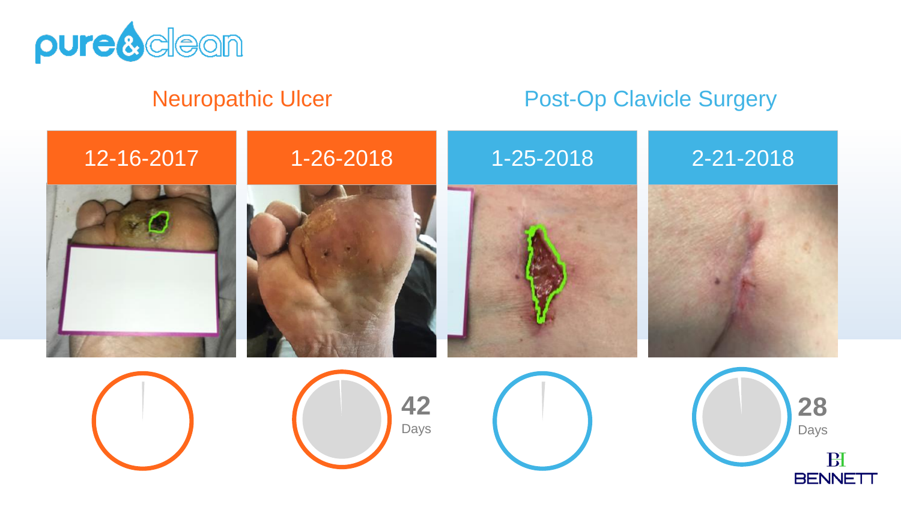

## Neuropathic Ulcer

# Post-Op Clavicle Surgery